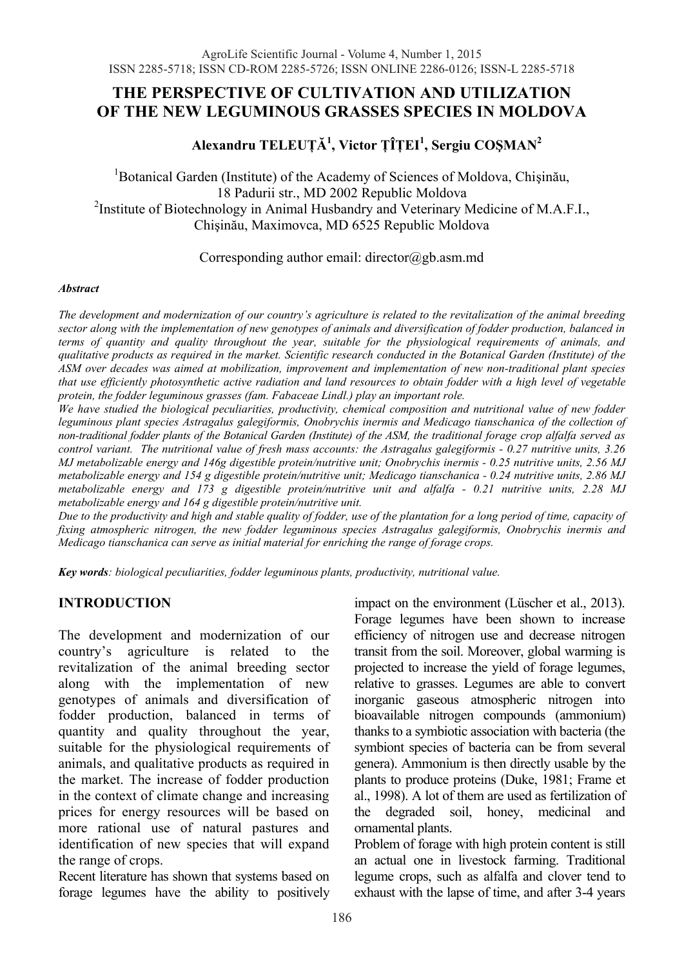# **THE PERSPECTIVE OF CULTIVATION AND UTILIZATION OF THE NEW LEGUMINOUS GRASSES SPECIES IN MOLDOVA**

# **Alexandru TELEUğĂ<sup>1</sup> , Victor ğÎğEI<sup>1</sup> , Sergiu COùMAN2**

<sup>1</sup>Botanical Garden (Institute) of the Academy of Sciences of Moldova, Chișinău, 18 Padurii str., MD 2002 Republic Moldova <sup>2</sup>Institute of Biotechnology in Animal Husbandry and Veterinary Medicine of M.A.F.I., Chisinău, Maximovca, MD 6525 Republic Moldova

### Corresponding author email: director@gb.asm.md

#### *Abstract*

*The development and modernization of our country's agriculture is related to the revitalization of the animal breeding sector along with the implementation of new genotypes of animals and diversification of fodder production, balanced in terms of quantity and quality throughout the year, suitable for the physiological requirements of animals, and qualitative products as required in the market. Scientific research conducted in the Botanical Garden (Institute) of the ASM over decades was aimed at mobilization, improvement and implementation of new non-traditional plant species that use efficiently photosynthetic active radiation and land resources to obtain fodder with a high level of vegetable protein, the fodder leguminous grasses (fam. Fabaceae Lindl.) play an important role.* 

*We have studied the biological peculiarities, productivity, chemical composition and nutritional value of new fodder leguminous plant species Astragalus galegiformis, Onobrychis inermis and Medicago tianschanica of the collection of non-traditional fodder plants of the Botanical Garden (Institute) of the ASM, the traditional forage crop alfalfa served as control variant. The nutritional value of fresh mass accounts: the Astragalus galegiformis - 0.27 nutritive units, 3.26 MJ metabolizable energy and 146g digestible protein/nutritive unit; Onobrychis inermis - 0.25 nutritive units, 2.56 MJ metabolizable energy and 154 g digestible protein/nutritive unit; Medicago tianschanica - 0.24 nutritive units, 2.86 MJ metabolizable energy and 173 g digestible protein/nutritive unit and alfalfa - 0.21 nutritive units, 2.28 MJ metabolizable energy and 164 g digestible protein/nutritive unit.* 

*Due to the productivity and high and stable quality of fodder, use of the plantation for a long period of time, capacity of fixing atmospheric nitrogen, the new fodder leguminous species Astragalus galegiformis, Onobrychis inermis and Medicago tianschanica can serve as initial material for enriching the range of forage crops.* 

*Key words: biological peculiarities, fodder leguminous plants, productivity, nutritional value.* 

## **INTRODUCTION**

The development and modernization of our country's agriculture is related to the revitalization of the animal breeding sector along with the implementation of new genotypes of animals and diversification of fodder production, balanced in terms of quantity and quality throughout the year, suitable for the physiological requirements of animals, and qualitative products as required in the market. The increase of fodder production in the context of climate change and increasing prices for energy resources will be based on more rational use of natural pastures and identification of new species that will expand the range of crops.

Recent literature has shown that systems based on forage legumes have the ability to positively

impact on the environment (Lüscher et al., 2013). Forage legumes have been shown to increase efficiency of nitrogen use and decrease nitrogen transit from the soil. Moreover, global warming is projected to increase the yield of forage legumes, relative to grasses. Legumes are able to convert inorganic gaseous atmospheric nitrogen into bioavailable nitrogen compounds (ammonium) thanks to a symbiotic association with bacteria (the symbiont species of bacteria can be from several genera). Ammonium is then directly usable by the plants to produce proteins (Duke, 1981; Frame et al., 1998). A lot of them are used as fertilization of the degraded soil, honey, medicinal and ornamental plants.

Problem of forage with high protein content is still an actual one in livestock farming. Traditional legume crops, such as alfalfa and clover tend to exhaust with the lapse of time, and after 3-4 years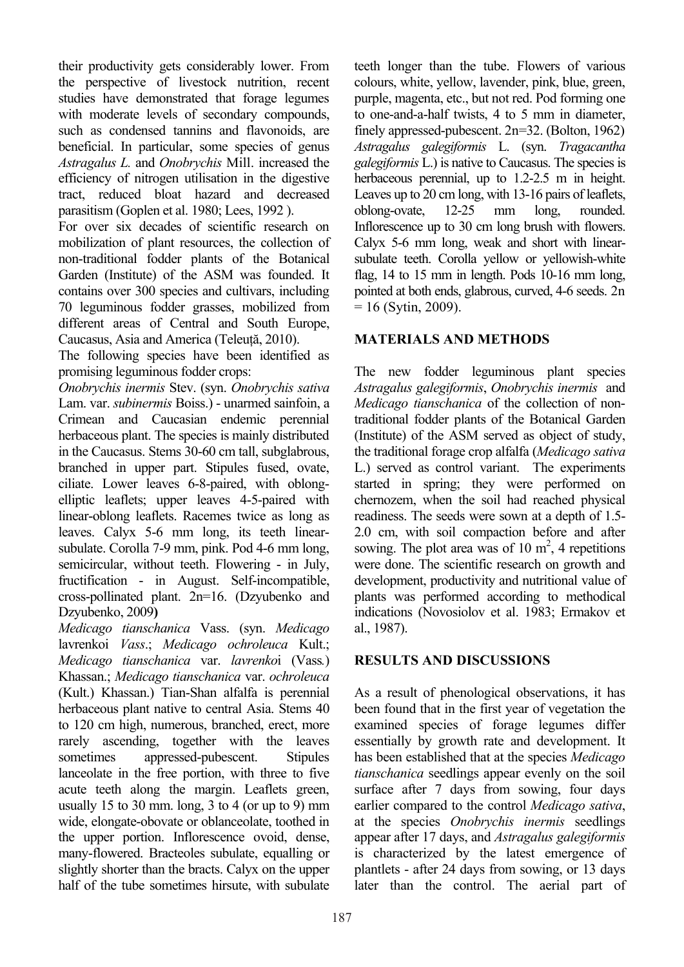their productivity gets considerably lower. From the perspective of livestock nutrition, recent studies have demonstrated that forage legumes with moderate levels of secondary compounds, such as condensed tannins and flavonoids, are beneficial. In particular, some species of genus *Astragalus L.* and *Onobrychis* Mill. increased the efficiency of nitrogen utilisation in the digestive tract, reduced bloat hazard and decreased parasitism (Goplen et al. 1980; Lees, 1992 ).

For over six decades of scientific research on mobilization of plant resources, the collection of non-traditional fodder plants of the Botanical Garden (Institute) of the ASM was founded. It contains over 300 species and cultivars, including 70 leguminous fodder grasses, mobilized from different areas of Central and South Europe, Caucasus, Asia and America (Teleută, 2010).

The following species have been identified as promising leguminous fodder crops:

*Onobrychis inermis* Stev. (syn. *Onobrychis sativa* Lam. var. *subinermis* Boiss.) - unarmed sainfoin, a Crimean and Caucasian endemic perennial herbaceous plant. The species is mainly distributed in the Caucasus. Stems 30-60 cm tall, subglabrous, branched in upper part. Stipules fused, ovate, ciliate. Lower leaves 6-8-paired, with oblongelliptic leaflets; upper leaves 4-5-paired with linear-oblong leaflets. Racemes twice as long as leaves. Calyx 5-6 mm long, its teeth linearsubulate. Corolla 7-9 mm, pink. Pod 4-6 mm long, semicircular, without teeth. Flowering - in July, fructification - in August. Self-incompatible, cross-pollinated plant. 2n=16. (Dzyubenko and Dzyubenko, 2009**)**

*Medicago tianschanica* Vass. (syn. *Medicago* lavrenkoi *Vass*.; *Medicago ochroleuca* Kult.; *Medicago tianschanica* var. *lavrenko*i (Vass*.*) Khassan.; *Medicago tianschanica* var. *ochroleuca* (Kult.) Khassan.) Tian-Shan alfalfa is perennial herbaceous plant native to central Asia. Stems 40 to 120 cm high, numerous, branched, erect, more rarely ascending, together with the leaves sometimes appressed-pubescent. Stipules lanceolate in the free portion, with three to five acute teeth along the margin. Leaflets green, usually 15 to 30 mm. long,  $3$  to 4 (or up to 9) mm wide, elongate-obovate or oblanceolate, toothed in the upper portion. Inflorescence ovoid, dense, many-flowered. Bracteoles subulate, equalling or slightly shorter than the bracts. Calyx on the upper half of the tube sometimes hirsute, with subulate

teeth longer than the tube. Flowers of various colours, white, yellow, lavender, pink, blue, green, purple, magenta, etc., but not red. Pod forming one to one-and-a-half twists, 4 to 5 mm in diameter, finely appressed-pubescent. 2n=32. (Bolton, 1962) *Astragalus galegiformis* L. (syn. *Tragacantha galegiformis* L.) is native to Caucasus. The species is herbaceous perennial, up to 1.2-2.5 m in height. Leaves up to 20 cm long, with 13-16 pairs of leaflets, oblong-ovate, 12-25 mm long, rounded. Inflorescence up to 30 cm long brush with flowers. Calyx 5-6 mm long, weak and short with linearsubulate teeth. Corolla yellow or yellowish-white flag, 14 to 15 mm in length. Pods 10-16 mm long, pointed at both ends, glabrous, curved, 4-6 seeds. 2n  $= 16$  (Sytin, 2009).

# **MATERIALS AND METHODS**

The new fodder leguminous plant species *Astragalus galegiformis*, *Onobrychis inermis* and *Medicago tianschanica* of the collection of nontraditional fodder plants of the Botanical Garden (Institute) of the ASM served as object of study, the traditional forage crop alfalfa (*Medicago sativa* L.) served as control variant. The experiments started in spring; they were performed on chernozem, when the soil had reached physical readiness. The seeds were sown at a depth of 1.5- 2.0 cm, with soil compaction before and after sowing. The plot area was of 10  $m^2$ , 4 repetitions were done. The scientific research on growth and development, productivity and nutritional value of plants was performed according to methodical indications (Novosiolov et al. 1983; Ermakov et al., 1987).

# **RESULTS AND DISCUSSIONS**

As a result of phenological observations, it has been found that in the first year of vegetation the examined species of forage legumes differ essentially by growth rate and development. It has been established that at the species *Medicago tianschanica* seedlings appear evenly on the soil surface after 7 days from sowing, four days earlier compared to the control *Medicago sativa*, at the species *Onobrychis inermis* seedlings appear after 17 days, and *Astragalus galegiformis* is characterized by the latest emergence of plantlets - after 24 days from sowing, or 13 days later than the control. The aerial part of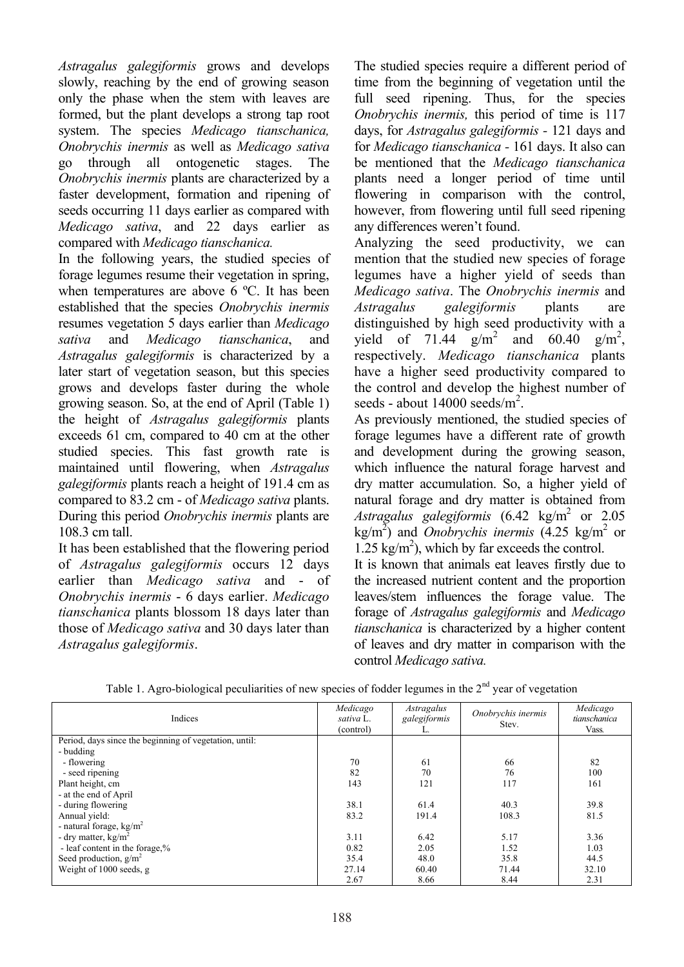*Astragalus galegiformis* grows and develops slowly, reaching by the end of growing season only the phase when the stem with leaves are formed, but the plant develops a strong tap root system. The species *Medicago tianschanica, Onobrychis inermis* as well as *Medicago sativa* go through all ontogenetic stages. The *Onobrychis inermis* plants are characterized by a faster development, formation and ripening of seeds occurring 11 days earlier as compared with *Medicago sativa*, and 22 days earlier as compared with *Medicago tianschanica.*

In the following years, the studied species of forage legumes resume their vegetation in spring, when temperatures are above 6 ºC. It has been established that the species *Onobrychis inermis* resumes vegetation 5 days earlier than *Medicago sativa* and *Medicago tianschanica*, and *Astragalus galegiformis* is characterized by a later start of vegetation season, but this species grows and develops faster during the whole growing season. So, at the end of April (Table 1) the height of *Astragalus galegiformis* plants exceeds 61 cm, compared to 40 cm at the other studied species. This fast growth rate is maintained until flowering, when *Astragalus galegiformis* plants reach a height of 191.4 cm as compared to 83.2 cm - of *Medicago sativa* plants. During this period *Onobrychis inermis* plants are 108.3 cm tall.

It has been established that the flowering period of *Astragalus galegiformis* occurs 12 days earlier than *Medicago sativa* and - of *Onobrychis inermis* - 6 days earlier. *Medicago tianschanica* plants blossom 18 days later than those of *Medicago sativa* and 30 days later than *Astragalus galegiformis*.

The studied species require a different period of time from the beginning of vegetation until the full seed ripening. Thus, for the species *Onobrychis inermis,* this period of time is 117 days, for *Astragalus galegiformis -* 121 days and for *Medicago tianschanica -* 161 days. It also can be mentioned that the *Medicago tianschanica* plants need a longer period of time until flowering in comparison with the control, however, from flowering until full seed ripening any differences weren't found.

Analyzing the seed productivity, we can mention that the studied new species of forage legumes have a higher yield of seeds than *Medicago sativa*. The *Onobrychis inermis* and *Astragalus galegiformis* plants are distinguished by high seed productivity with a yield of 71.44  $g/m^2$  and 60.40  $g/m^2$ , respectively. *Medicago tianschanica* plants have a higher seed productivity compared to the control and develop the highest number of seeds - about  $14000 \text{ seeds/m}^2$ .

As previously mentioned, the studied species of forage legumes have a different rate of growth and development during the growing season, which influence the natural forage harvest and dry matter accumulation. So, a higher yield of natural forage and dry matter is obtained from Astragalus galegiformis (6.42 kg/m<sup>2</sup> or 2.05  $\text{kg/m}^2$ ) and *Onobrychis inermis* (4.25 kg/m<sup>2</sup> or 1.25 kg/m<sup>2</sup>), which by far exceeds the control.

It is known that animals eat leaves firstly due to the increased nutrient content and the proportion leaves/stem influences the forage value. The forage of *Astragalus galegiformis* and *Medicago tianschanica* is characterized by a higher content of leaves and dry matter in comparison with the control *Medicago sativa.*

| Indices                                                | Medicago<br>sativa L.<br>(control) | Astragalus<br>galegiformis<br>L. | Onobrychis inermis<br>Stev. | Medicago<br>tianschanica<br>Vass. |
|--------------------------------------------------------|------------------------------------|----------------------------------|-----------------------------|-----------------------------------|
| Period, days since the beginning of vegetation, until: |                                    |                                  |                             |                                   |
| - budding                                              |                                    |                                  |                             |                                   |
| - flowering                                            | 70                                 | 61                               | 66                          | 82                                |
| - seed ripening                                        | 82                                 | 70                               | 76                          | 100                               |
| Plant height, cm                                       | 143                                | 121                              | 117                         | 161                               |
| - at the end of April                                  |                                    |                                  |                             |                                   |
| - during flowering                                     | 38.1                               | 61.4                             | 40.3                        | 39.8                              |
| Annual vield:                                          | 83.2                               | 191.4                            | 108.3                       | 81.5                              |
| - natural forage, $\text{kg/m}^2$                      |                                    |                                  |                             |                                   |
| - dry matter, $kg/m^2$                                 | 3.11                               | 6.42                             | 5.17                        | 3.36                              |
| - leaf content in the forage,%                         | 0.82                               | 2.05                             | 1.52                        | 1.03                              |
| Seed production, $g/m^2$                               | 35.4                               | 48.0                             | 35.8                        | 44.5                              |
| Weight of 1000 seeds, g                                | 27.14                              | 60.40                            | 71.44                       | 32.10                             |
|                                                        | 2.67                               | 8.66                             | 8.44                        | 2.31                              |

| Table 1. Agro-biological peculiarities of new species of fodder legumes in the 2 <sup>nd</sup> year of vegetation |  |  |
|-------------------------------------------------------------------------------------------------------------------|--|--|
|                                                                                                                   |  |  |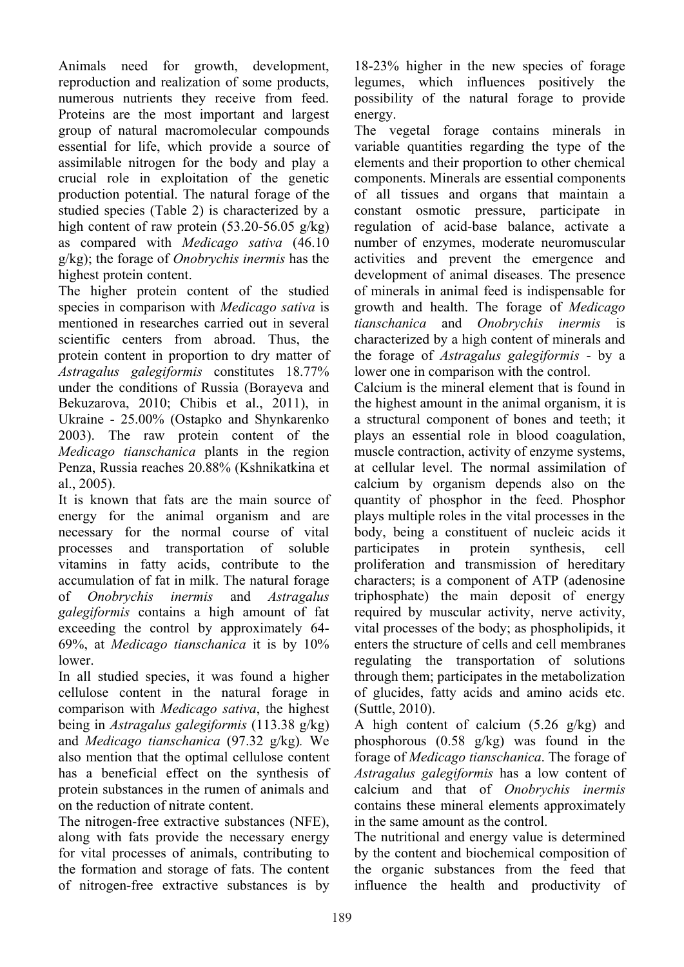Animals need for growth, development, reproduction and realization of some products, numerous nutrients they receive from feed. Proteins are the most important and largest group of natural macromolecular compounds essential for life, which provide a source of assimilable nitrogen for the body and play a crucial role in exploitation of the genetic production potential. The natural forage of the studied species (Table 2) is characterized by a high content of raw protein  $(53.20 - 56.05 \text{ g/kg})$ as compared with *Medicago sativa* (46.10 g/kg); the forage of *Onobrychis inermis* has the highest protein content.

The higher protein content of the studied species in comparison with *Medicago sativa* is mentioned in researches carried out in several scientific centers from abroad. Thus, the protein content in proportion to dry matter of *Astragalus galegiformis* constitutes 18.77% under the conditions of Russia (Borayeva and Bekuzarova, 2010; Chibis et al., 2011), in Ukraine - 25.00% (Ostapko and Shynkarenko 2003). The raw protein content of the *Medicago tianschanica* plants in the region Penza, Russia reaches 20.88% (Kshnikatkina et al. 2005).

It is known that fats are the main source of energy for the animal organism and are necessary for the normal course of vital processes and transportation of soluble vitamins in fatty acids, contribute to the accumulation of fat in milk. The natural forage of *Onobrychis inermis* and *Astragalus galegiformis* contains a high amount of fat exceeding the control by approximately 64- 69%, at *Medicago tianschanica* it is by 10% lower.

In all studied species, it was found a higher cellulose content in the natural forage in comparison with *Medicago sativa*, the highest being in *Astragalus galegiformis* (113.38 g/kg) and *Medicago tianschanica* (97.32 g/kg)*.* We also mention that the optimal cellulose content has a beneficial effect on the synthesis of protein substances in the rumen of animals and on the reduction of nitrate content.

The nitrogen-free extractive substances (NFE), along with fats provide the necessary energy for vital processes of animals, contributing to the formation and storage of fats. The content of nitrogen-free extractive substances is by

18-23% higher in the new species of forage legumes, which influences positively the possibility of the natural forage to provide energy.

The vegetal forage contains minerals in variable quantities regarding the type of the elements and their proportion to other chemical components. Minerals are essential components of all tissues and organs that maintain a constant osmotic pressure, participate in regulation of acid-base balance, activate a number of enzymes, moderate neuromuscular activities and prevent the emergence and development of animal diseases. The presence of minerals in animal feed is indispensable for growth and health. The forage of *Medicago tianschanica* and *Onobrychis inermis* is characterized by a high content of minerals and the forage of *Astragalus galegiformis* - by a lower one in comparison with the control.

Calcium is the mineral element that is found in the highest amount in the animal organism, it is a structural component of bones and teeth; it plays an essential role in blood coagulation, muscle contraction, activity of enzyme systems, at cellular level. The normal assimilation of calcium by organism depends also on the quantity of phosphor in the feed. Phosphor plays multiple roles in the vital processes in the body, being a constituent of nucleic acids it participates in protein synthesis, cell proliferation and transmission of hereditary characters; is a component of ATP (adenosine triphosphate) the main deposit of energy required by muscular activity, nerve activity, vital processes of the body; as phospholipids, it enters the structure of cells and cell membranes regulating the transportation of solutions through them; participates in the metabolization of glucides, fatty acids and amino acids etc. (Suttle, 2010).

A high content of calcium (5.26 g/kg) and phosphorous (0.58 g/kg) was found in the forage of *Medicago tianschanica*. The forage of *Astragalus galegiformis* has a low content of calcium and that of *Onobrychis inermis* contains these mineral elements approximately in the same amount as the control.

The nutritional and energy value is determined by the content and biochemical composition of the organic substances from the feed that influence the health and productivity of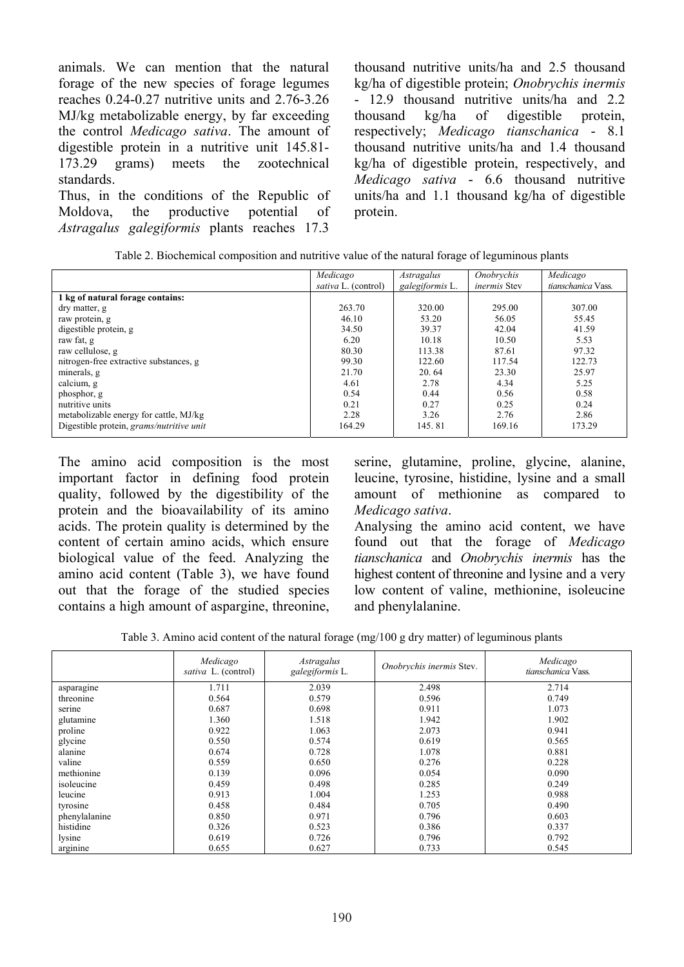animals. We can mention that the natural forage of the new species of forage legumes reaches 0.24-0.27 nutritive units and 2.76-3.26 MJ/kg metabolizable energy, by far exceeding the control *Medicago sativa*. The amount of digestible protein in a nutritive unit 145.81- 173.29 grams) meets the zootechnical standards. Thus, in the conditions of the Republic of Moldova, the productive potential of

*Astragalus galegiformis* plants reaches 17.3

thousand nutritive units/ha and 2.5 thousand kg/ha of digestible protein; *Onobrychis inermis* - 12.9 thousand nutritive units/ha and 2.2 thousand kg/ha of digestible protein, respectively; *Medicago tianschanica* - 8.1 thousand nutritive units/ha and 1.4 thousand kg/ha of digestible protein, respectively, and *Medicago sativa* - 6.6 thousand nutritive units/ha and 1.1 thousand kg/ha of digestible protein.

|                                          | Medicago                   | Astragalus      | Onobrychis          | Medicago           |
|------------------------------------------|----------------------------|-----------------|---------------------|--------------------|
|                                          | <i>sativa</i> L. (control) | galegiformis L. | <i>inermis</i> Stev | tianschanica Vass. |
| 1 kg of natural forage contains:         |                            |                 |                     |                    |
| dry matter, g                            | 263.70                     | 320.00          | 295.00              | 307.00             |
| raw protein, g                           | 46.10                      | 53.20           | 56.05               | 55.45              |
| digestible protein, g                    | 34.50                      | 39.37           | 42.04               | 41.59              |
| raw fat, g                               | 6.20                       | 10.18           | 10.50               | 5.53               |
| raw cellulose, g                         | 80.30                      | 113.38          | 87.61               | 97.32              |
| nitrogen-free extractive substances, g   | 99.30                      | 122.60          | 117.54              | 122.73             |
| minerals, g                              | 21.70                      | 20.64           | 23.30               | 25.97              |
| calcium, g                               | 4.61                       | 2.78            | 4.34                | 5.25               |
| phosphor, g                              | 0.54                       | 0.44            | 0.56                | 0.58               |
| nutritive units                          | 0.21                       | 0.27            | 0.25                | 0.24               |
| metabolizable energy for cattle, MJ/kg   | 2.28                       | 3.26            | 2.76                | 2.86               |
| Digestible protein, grams/nutritive unit | 164.29                     | 145.81          | 169.16              | 173.29             |

| Table 2. Biochemical composition and nutritive value of the natural forage of leguminous plants |  |  |  |  |
|-------------------------------------------------------------------------------------------------|--|--|--|--|
|                                                                                                 |  |  |  |  |

The amino acid composition is the most important factor in defining food protein quality, followed by the digestibility of the protein and the bioavailability of its amino acids. The protein quality is determined by the content of certain amino acids, which ensure biological value of the feed. Analyzing the amino acid content (Table 3), we have found out that the forage of the studied species contains a high amount of aspargine, threonine, serine, glutamine, proline, glycine, alanine, leucine, tyrosine, histidine, lysine and a small amount of methionine as compared to *Medicago sativa*.

Analysing the amino acid content, we have found out that the forage of *Medicago tianschanica* and *Onobrychis inermis* has the highest content of threonine and lysine and a very low content of valine, methionine, isoleucine and phenylalanine.

Table 3. Amino acid content of the natural forage (mg/100 g dry matter) of leguminous plants

|               | Medicago<br>sativa L. (control) | Astragalus<br>galegiformis L. | Onobrychis inermis Stev. | Medicago<br>tianschanica Vass. |
|---------------|---------------------------------|-------------------------------|--------------------------|--------------------------------|
| asparagine    | 1.711                           | 2.039                         | 2.498                    | 2.714                          |
| threonine     | 0.564                           | 0.579                         | 0.596                    | 0.749                          |
| serine        | 0.687                           | 0.698                         | 0.911                    | 1.073                          |
| glutamine     | 1.360                           | 1.518                         | 1.942                    | 1.902                          |
| proline       | 0.922                           | 1.063                         | 2.073                    | 0.941                          |
| glycine       | 0.550                           | 0.574                         | 0.619                    | 0.565                          |
| alanine       | 0.674                           | 0.728                         | 1.078                    | 0.881                          |
| valine        | 0.559                           | 0.650                         | 0.276                    | 0.228                          |
| methionine    | 0.139                           | 0.096                         | 0.054                    | 0.090                          |
| isoleucine    | 0.459                           | 0.498                         | 0.285                    | 0.249                          |
| leucine       | 0.913                           | 1.004                         | 1.253                    | 0.988                          |
| tyrosine      | 0.458                           | 0.484                         | 0.705                    | 0.490                          |
| phenylalanine | 0.850                           | 0.971                         | 0.796                    | 0.603                          |
| histidine     | 0.326                           | 0.523                         | 0.386                    | 0.337                          |
| lysine        | 0.619                           | 0.726                         | 0.796                    | 0.792                          |
| arginine      | 0.655                           | 0.627                         | 0.733                    | 0.545                          |